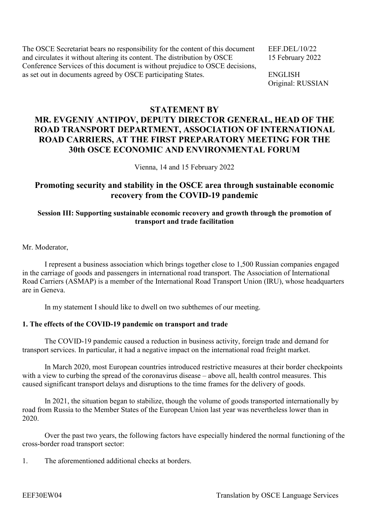The OSCE Secretariat bears no responsibility for the content of this document EEF.DEL/10/22 and circulates it without altering its content. The distribution by OSCE 15 February 2022 Conference Services of this document is without prejudice to OSCE decisions, as set out in documents agreed by OSCE participating States. ENGLISH

Original: RUSSIAN

# **STATEMENT BY**

# **MR. EVGENIY ANTIPOV, DEPUTY DIRECTOR GENERAL, HEAD OF THE ROAD TRANSPORT DEPARTMENT, ASSOCIATION OF INTERNATIONAL ROAD CARRIERS, AT THE FIRST PREPARATORY MEETING FOR THE 30th OSCE ECONOMIC AND ENVIRONMENTAL FORUM**

Vienna, 14 and 15 February 2022

# **Promoting security and stability in the OSCE area through sustainable economic recovery from the COVID-19 pandemic**

# **Session III: Supporting sustainable economic recovery and growth through the promotion of transport and trade facilitation**

Mr. Moderator,

I represent a business association which brings together close to 1,500 Russian companies engaged in the carriage of goods and passengers in international road transport. The Association of International Road Carriers (ASMAP) is a member of the International Road Transport Union (IRU), whose headquarters are in Geneva.

In my statement I should like to dwell on two subthemes of our meeting.

## **1. The effects of the COVID-19 pandemic on transport and trade**

The COVID-19 pandemic caused a reduction in business activity, foreign trade and demand for transport services. In particular, it had a negative impact on the international road freight market.

In March 2020, most European countries introduced restrictive measures at their border checkpoints with a view to curbing the spread of the coronavirus disease – above all, health control measures. This caused significant transport delays and disruptions to the time frames for the delivery of goods.

In 2021, the situation began to stabilize, though the volume of goods transported internationally by road from Russia to the Member States of the European Union last year was nevertheless lower than in 2020.

Over the past two years, the following factors have especially hindered the normal functioning of the cross-border road transport sector:

1. The aforementioned additional checks at borders.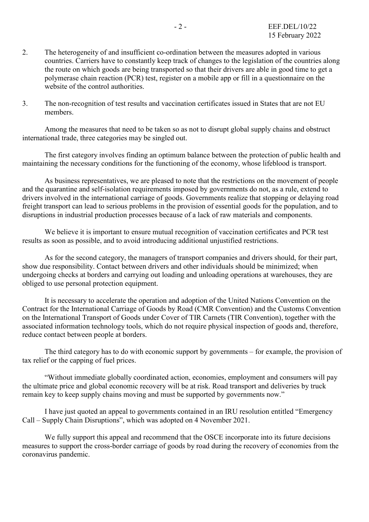- 2. The heterogeneity of and insufficient co-ordination between the measures adopted in various countries. Carriers have to constantly keep track of changes to the legislation of the countries along the route on which goods are being transported so that their drivers are able in good time to get a polymerase chain reaction (PCR) test, register on a mobile app or fill in a questionnaire on the website of the control authorities.
- 3. The non-recognition of test results and vaccination certificates issued in States that are not EU members.

Among the measures that need to be taken so as not to disrupt global supply chains and obstruct international trade, three categories may be singled out.

The first category involves finding an optimum balance between the protection of public health and maintaining the necessary conditions for the functioning of the economy, whose lifeblood is transport.

As business representatives, we are pleased to note that the restrictions on the movement of people and the quarantine and self-isolation requirements imposed by governments do not, as a rule, extend to drivers involved in the international carriage of goods. Governments realize that stopping or delaying road freight transport can lead to serious problems in the provision of essential goods for the population, and to disruptions in industrial production processes because of a lack of raw materials and components.

We believe it is important to ensure mutual recognition of vaccination certificates and PCR test results as soon as possible, and to avoid introducing additional unjustified restrictions.

As for the second category, the managers of transport companies and drivers should, for their part, show due responsibility. Contact between drivers and other individuals should be minimized; when undergoing checks at borders and carrying out loading and unloading operations at warehouses, they are obliged to use personal protection equipment.

It is necessary to accelerate the operation and adoption of the United Nations Convention on the Contract for the International Carriage of Goods by Road (CMR Convention) and the Customs Convention on the International Transport of Goods under Cover of TIR Carnets (TIR Convention), together with the associated information technology tools, which do not require physical inspection of goods and, therefore, reduce contact between people at borders.

The third category has to do with economic support by governments – for example, the provision of tax relief or the capping of fuel prices.

"Without immediate globally coordinated action, economies, employment and consumers will pay the ultimate price and global economic recovery will be at risk. Road transport and deliveries by truck remain key to keep supply chains moving and must be supported by governments now."

I have just quoted an appeal to governments contained in an IRU resolution entitled "Emergency Call – Supply Chain Disruptions", which was adopted on 4 November 2021.

We fully support this appeal and recommend that the OSCE incorporate into its future decisions measures to support the cross-border carriage of goods by road during the recovery of economies from the coronavirus pandemic.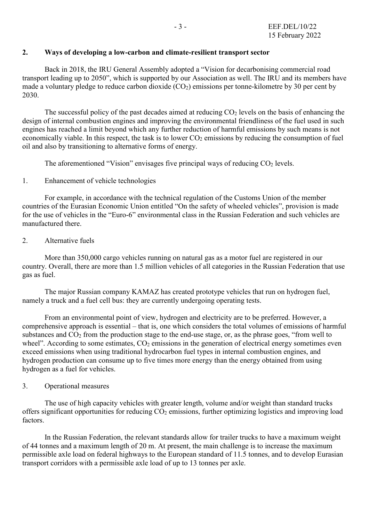#### **2. Ways of developing a low-carbon and climate-resilient transport sector**

Back in 2018, the IRU General Assembly adopted a "Vision for decarbonising commercial road transport leading up to 2050", which is supported by our Association as well. The IRU and its members have made a voluntary pledge to reduce carbon dioxide  $(CO<sub>2</sub>)$  emissions per tonne-kilometre by 30 per cent by 2030.

The successful policy of the past decades aimed at reducing  $CO<sub>2</sub>$  levels on the basis of enhancing the design of internal combustion engines and improving the environmental friendliness of the fuel used in such engines has reached a limit beyond which any further reduction of harmful emissions by such means is not economically viable. In this respect, the task is to lower  $CO<sub>2</sub>$  emissions by reducing the consumption of fuel oil and also by transitioning to alternative forms of energy.

The aforementioned "Vision" envisages five principal ways of reducing  $CO<sub>2</sub>$  levels.

## 1. Enhancement of vehicle technologies

For example, in accordance with the technical regulation of the Customs Union of the member countries of the Eurasian Economic Union entitled "On the safety of wheeled vehicles", provision is made for the use of vehicles in the "Euro-6" environmental class in the Russian Federation and such vehicles are manufactured there.

## 2. Alternative fuels

More than 350,000 cargo vehicles running on natural gas as a motor fuel are registered in our country. Overall, there are more than 1.5 million vehicles of all categories in the Russian Federation that use gas as fuel.

The major Russian company KAMAZ has created prototype vehicles that run on hydrogen fuel, namely a truck and a fuel cell bus: they are currently undergoing operating tests.

From an environmental point of view, hydrogen and electricity are to be preferred. However, a comprehensive approach is essential – that is, one which considers the total volumes of emissions of harmful substances and  $CO<sub>2</sub>$  from the production stage to the end-use stage, or, as the phrase goes, "from well to wheel". According to some estimates,  $CO<sub>2</sub>$  emissions in the generation of electrical energy sometimes even exceed emissions when using traditional hydrocarbon fuel types in internal combustion engines, and hydrogen production can consume up to five times more energy than the energy obtained from using hydrogen as a fuel for vehicles.

#### 3. Operational measures

The use of high capacity vehicles with greater length, volume and/or weight than standard trucks offers significant opportunities for reducing CO2 emissions, further optimizing logistics and improving load factors.

In the Russian Federation, the relevant standards allow for trailer trucks to have a maximum weight of 44 tonnes and a maximum length of 20 m. At present, the main challenge is to increase the maximum permissible axle load on federal highways to the European standard of 11.5 tonnes, and to develop Eurasian transport corridors with a permissible axle load of up to 13 tonnes per axle.